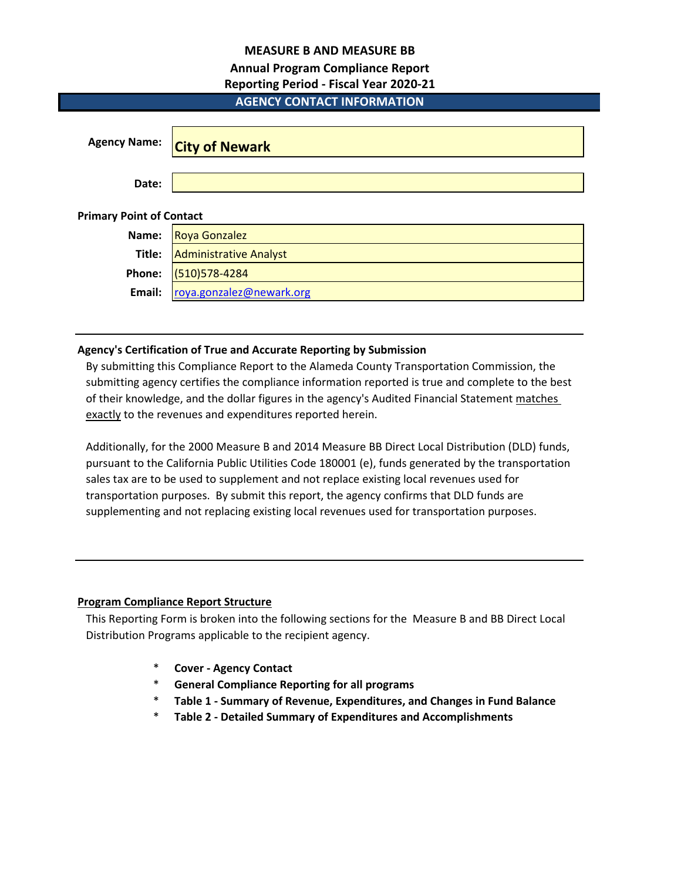## **MEASURE B AND MEASURE BB**

# **Annual Program Compliance Report**

## **Reporting Period - Fiscal Year 2020-21**

# **AGENCY CONTACT INFORMATION**

| <b>Agency Name:</b>             | <b>City of Newark</b>         |  |  |  |  |  |  |  |
|---------------------------------|-------------------------------|--|--|--|--|--|--|--|
| Date:                           |                               |  |  |  |  |  |  |  |
| <b>Primary Point of Contact</b> |                               |  |  |  |  |  |  |  |
| Name:                           | <b>Roya Gonzalez</b>          |  |  |  |  |  |  |  |
| Title:                          | <b>Administrative Analyst</b> |  |  |  |  |  |  |  |
| Phone:                          | (510) 578-4284                |  |  |  |  |  |  |  |
| Email:                          | roya.gonzalez@newark.org      |  |  |  |  |  |  |  |

## **Agency's Certification of True and Accurate Reporting by Submission**

By submitting this Compliance Report to the Alameda County Transportation Commission, the submitting agency certifies the compliance information reported is true and complete to the best of their knowledge, and the dollar figures in the agency's Audited Financial Statement matches exactly to the revenues and expenditures reported herein.

Additionally, for the 2000 Measure B and 2014 Measure BB Direct Local Distribution (DLD) funds, pursuant to the California Public Utilities Code 180001 (e), funds generated by the transportation sales tax are to be used to supplement and not replace existing local revenues used for transportation purposes. By submit this report, the agency confirms that DLD funds are supplementing and not replacing existing local revenues used for transportation purposes.

# **Program Compliance Report Structure**

This Reporting Form is broken into the following sections for the Measure B and BB Direct Local Distribution Programs applicable to the recipient agency.

- \* **Cover Agency Contact**
- \* **General Compliance Reporting for all programs**
- \* **Table 1 Summary of Revenue, Expenditures, and Changes in Fund Balance**
- \* **Table 2 Detailed Summary of Expenditures and Accomplishments**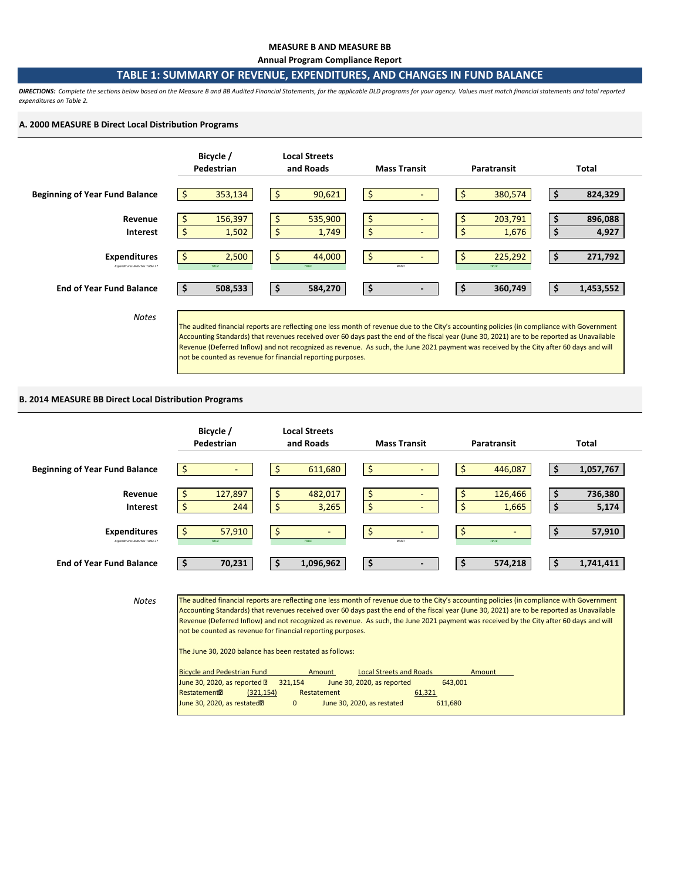#### **MEASURE B AND MEASURE BB**

**Annual Program Compliance Report**

## **TABLE 1: SUMMARY OF REVENUE, EXPENDITURES, AND CHANGES IN FUND BALANCE**

*DIRECTIONS: Complete the sections below based on the Measure B and BB Audited Financial Statements, for the applicable DLD programs for your agency. Values must match financial statements and total reported expenditures on Table 2.* 

#### **A. 2000 MEASURE B Direct Local Distribution Programs**



#### **B. 2014 MEASURE BB Direct Local Distribution Programs**

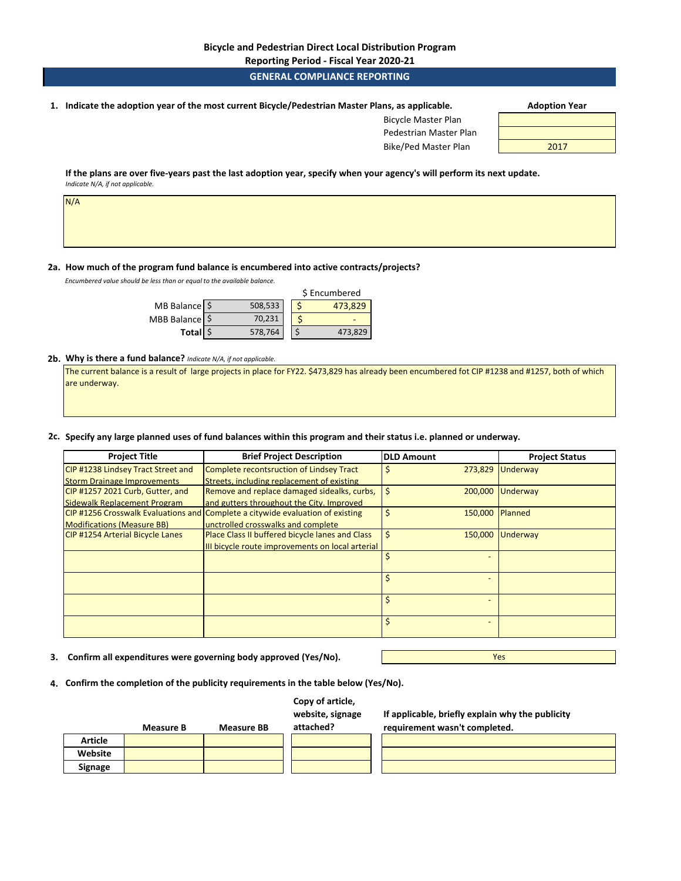**Reporting Period - Fiscal Year 2020-21**

## **GENERAL COMPLIANCE REPORTING**

**1. Adoption Year Indicate the adoption year of the most current Bicycle/Pedestrian Master Plans, as applicable.** 

| <b>Adoption Year</b> |  |
|----------------------|--|
|----------------------|--|

Bicycle Master Plan Pedestrian Master Plan Bike/Ped Master Plan 2017

**If the plans are over five-years past the last adoption year, specify when your agency's will perform its next update.**  *Indicate N/A, if not applicable.* 

| N/A |  |  |  |
|-----|--|--|--|
|     |  |  |  |
|     |  |  |  |

#### **2a. How much of the program fund balance is encumbered into active contracts/projects?**

*Encumbered value should be less than or equal to the available balance.* 

|                          |         | \$ Encumbered |
|--------------------------|---------|---------------|
| MB Balance $\frac{1}{2}$ | 508,533 | 473.829       |
| MBB Balance \$           | 70,231  |               |
| Total \$                 | 578,764 | 473,829       |

#### **2b. Why is there a fund balance?** *Indicate N/A, if not applicable.*

The current balance is a result of large projects in place for FY22. \$473,829 has already been encumbered fot CIP #1238 and #1257, both of which are underway.

## **2c. Specify any large planned uses of fund balances within this program and their status i.e. planned or underway.**

| <b>Project Title</b>                      | <b>Brief Project Description</b>                                              | <b>DLD Amount</b>     | <b>Project Status</b> |
|-------------------------------------------|-------------------------------------------------------------------------------|-----------------------|-----------------------|
| <b>CIP #1238 Lindsey Tract Street and</b> | Complete recontsruction of Lindsey Tract                                      | 273,829               | Underway              |
| <b>Storm Drainage Improvements</b>        | Streets, including replacement of existing                                    |                       |                       |
| CIP #1257 2021 Curb, Gutter, and          | Remove and replace damaged sidealks, curbs,                                   | \$<br>200,000         | Underway              |
| Sidewalk Replacement Program              | and gutters throughout the City. Improved                                     |                       |                       |
|                                           | CIP#1256 Crosswalk Evaluations and Complete a citywide evaluation of existing | \$<br>150,000 Planned |                       |
| <b>Modifications (Measure BB)</b>         | unctrolled crosswalks and complete                                            |                       |                       |
| <b>CIP #1254 Arterial Bicycle Lanes</b>   | Place Class II buffered bicycle lanes and Class                               | \$<br>150,000         | Underway              |
|                                           | III bicycle route improvements on local arterial                              |                       |                       |
|                                           |                                                                               | Ś                     |                       |
|                                           |                                                                               |                       |                       |
|                                           |                                                                               | Ś                     |                       |
|                                           |                                                                               |                       |                       |
|                                           |                                                                               | Ś                     |                       |
|                                           |                                                                               |                       |                       |
|                                           |                                                                               | Ś                     |                       |
|                                           |                                                                               |                       |                       |

**3. Confirm all expenditures were governing body approved (Yes/No).**

Yes

**4. Confirm the completion of the publicity requirements in the table below (Yes/No).**

| Copy of article, |
|------------------|
| website, signage |

|                | <b>Measure B</b> | <b>Measure BB</b> | attached? |
|----------------|------------------|-------------------|-----------|
| <b>Article</b> |                  |                   |           |
| Website        |                  |                   |           |
| Signage        |                  |                   |           |

**If applicable, briefly explain why the publicity requirement wasn't completed.**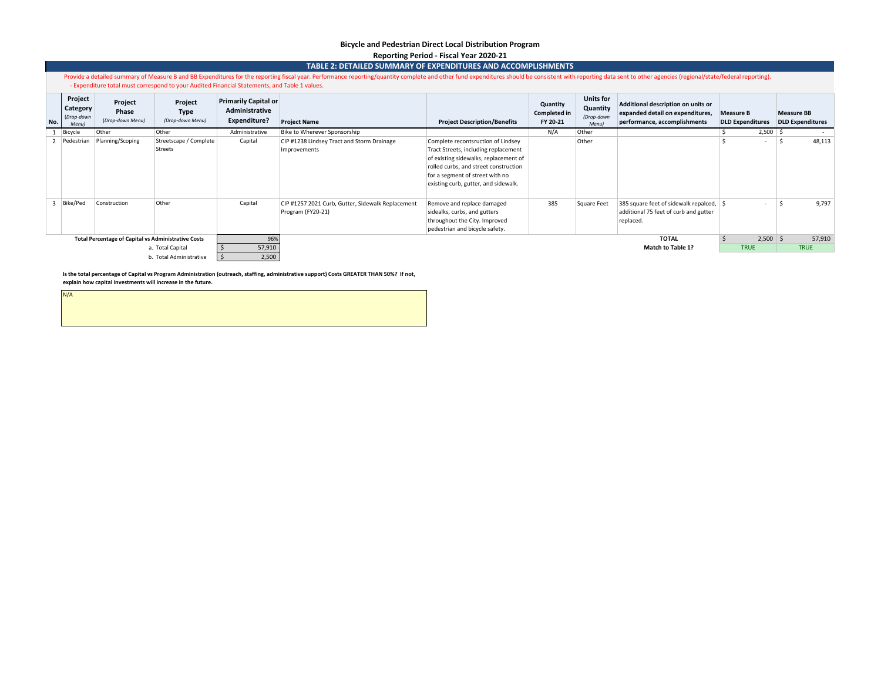## **Bicycle and Pedestrian Direct Local Distribution Program Reporting Period - Fiscal Year 2020-21**

|     | TABLE 2: DETAILED SUMMARY OF EXPENDITURES AND ACCOMPLISHMENTS                                                                                                                                                                                                                                                                   |                                                            |                                            |                                                               |                                                                        |                                                                                                                                                                                                                                         |                                      |                                                            |                                                                                                        |                                             |            |                   |                         |
|-----|---------------------------------------------------------------------------------------------------------------------------------------------------------------------------------------------------------------------------------------------------------------------------------------------------------------------------------|------------------------------------------------------------|--------------------------------------------|---------------------------------------------------------------|------------------------------------------------------------------------|-----------------------------------------------------------------------------------------------------------------------------------------------------------------------------------------------------------------------------------------|--------------------------------------|------------------------------------------------------------|--------------------------------------------------------------------------------------------------------|---------------------------------------------|------------|-------------------|-------------------------|
|     | Provide a detailed summary of Measure B and BB Expenditures for the reporting fiscal year. Performance reporting/quantity complete and other fund expenditures should be consistent with reporting data sent to other agencies<br>- Expenditure total must correspond to your Audited Financial Statements, and Table 1 values. |                                                            |                                            |                                                               |                                                                        |                                                                                                                                                                                                                                         |                                      |                                                            |                                                                                                        |                                             |            |                   |                         |
| No. | Project<br>Category<br>(Drop-down<br><b>Menul</b>                                                                                                                                                                                                                                                                               | Project<br>Phase<br>(Drop-down Menu)                       | Project<br><b>Type</b><br>(Drop-down Menu) | <b>Primarily Capital or</b><br>Administrative<br>Expenditure? | <b>Project Name</b>                                                    | <b>Project Description/Benefits</b>                                                                                                                                                                                                     | Quantity<br>Completed in<br>FY 20-21 | <b>Units for</b><br>Quantity<br>(Drop-down<br><b>Menul</b> | Additional description on units or<br>expanded detail on expenditures,<br>performance, accomplishments | <b>Measure B</b><br><b>DLD Expenditures</b> |            | <b>Measure BB</b> | <b>DLD Expenditures</b> |
|     | Bicycle                                                                                                                                                                                                                                                                                                                         | Other                                                      | Other                                      | Administrative                                                | Bike to Wherever Sponsorship                                           |                                                                                                                                                                                                                                         | N/A                                  | Other                                                      |                                                                                                        |                                             | $2,500$ \$ |                   |                         |
|     | Pedestrian                                                                                                                                                                                                                                                                                                                      | Planning/Scoping                                           | Streetscape / Complete<br>Streets          | Capital                                                       | CIP #1238 Lindsey Tract and Storm Drainage<br>Improvements             | Complete recontsruction of Lindsey<br>Tract Streets, including replacement<br>of existing sidewalks, replacement of<br>rolled curbs, and street construction<br>for a segment of street with no<br>existing curb, gutter, and sidewalk. |                                      | Other                                                      |                                                                                                        |                                             | $\sim$     | - Ś               | 48,113                  |
|     | Bike/Ped                                                                                                                                                                                                                                                                                                                        | Construction                                               | Other                                      | Capital                                                       | CIP #1257 2021 Curb, Gutter, Sidewalk Replacement<br>Program (FY20-21) | Remove and replace damaged<br>sidealks, curbs, and gutters<br>throughout the City. Improved<br>pedestrian and bicycle safety.                                                                                                           | 385                                  | Square Feet                                                | 385 square feet of sidewalk repalced,   \$<br>additional 75 feet of curb and gutter<br>replaced.       |                                             | $\sim$     | .s                | 9,797                   |
|     |                                                                                                                                                                                                                                                                                                                                 | <b>Total Percentage of Capital vs Administrative Costs</b> |                                            | 96%                                                           |                                                                        |                                                                                                                                                                                                                                         |                                      |                                                            | <b>TOTAL</b>                                                                                           |                                             | $2,500$ \$ |                   | 57,910                  |
|     |                                                                                                                                                                                                                                                                                                                                 |                                                            | a. Total Capital                           | 57,910                                                        |                                                                        |                                                                                                                                                                                                                                         |                                      |                                                            | <b>Match to Table 1?</b>                                                                               | <b>TRUE</b>                                 |            |                   | <b>TRUE</b>             |
|     |                                                                                                                                                                                                                                                                                                                                 |                                                            | b. Total Administrative                    | 2,500                                                         |                                                                        |                                                                                                                                                                                                                                         |                                      |                                                            |                                                                                                        |                                             |            |                   |                         |

**Is the total percentage of Capital vs Program Administration (outreach, staffing, administrative support) Costs GREATER THAN 50%? If not, explain how capital investments will increase in the future.**

N/A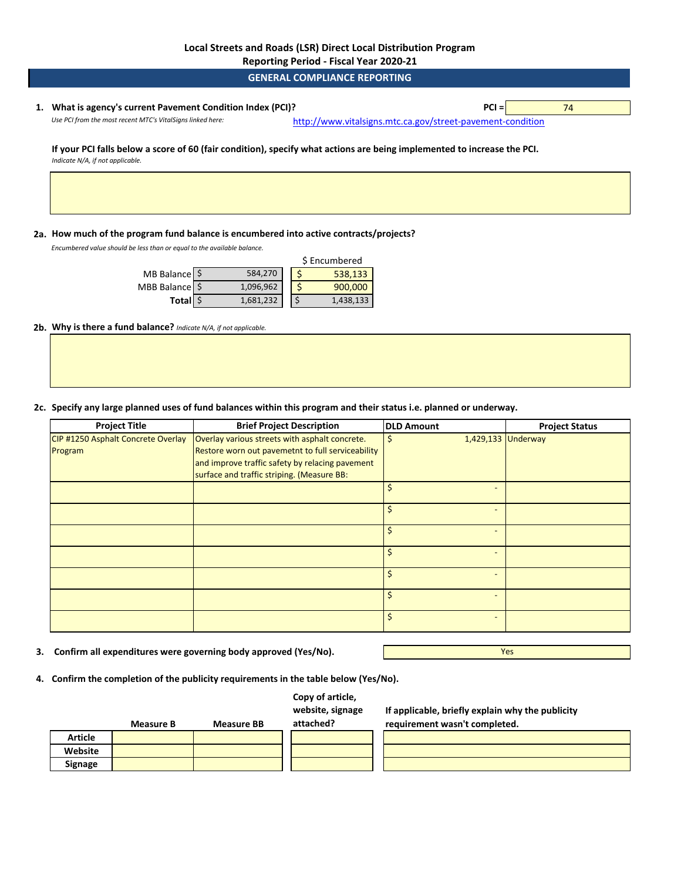**Reporting Period - Fiscal Year 2020-21**

**GENERAL COMPLIANCE REPORTING**

# **1. PCI =** 74 **What is agency's current Pavement Condition Index (PCI)?**

*Use PCI from the most recent MTC's VitalSigns linked here:* [http://www.vitalsig](http://www.vitalsigns.mtc.ca.gov/street-pavement-condition)ns.mtc.ca.gov/street-pavement-condition

**If your PCI falls below a score of 60 (fair condition), specify what actions are being implemented to increase the PCI.**  *Indicate N/A, if not applicable.* 

## **2a. How much of the program fund balance is encumbered into active contracts/projects?**

*Encumbered value should be less than or equal to the available balance.* 

|                     |           | \$ Encumbered |           |  |  |
|---------------------|-----------|---------------|-----------|--|--|
| MB Balance \$       | 584,270   |               | 538,133   |  |  |
| MBB Balance \$      | 1,096,962 |               | 900,000   |  |  |
| Total <sup>\$</sup> | 1,681,232 |               | 1,438,133 |  |  |

**2b. Why is there a fund balance?** *Indicate N/A, if not applicable.* 

**2c. Specify any large planned uses of fund balances within this program and their status i.e. planned or underway.**

| <b>Project Title</b>               | <b>Brief Project Description</b>                  | <b>DLD Amount</b>        | <b>Project Status</b> |
|------------------------------------|---------------------------------------------------|--------------------------|-----------------------|
| CIP #1250 Asphalt Concrete Overlay | Overlay various streets with asphalt concrete.    | 1,429,133 Underway<br>\$ |                       |
| Program                            | Restore worn out pavemetnt to full serviceability |                          |                       |
|                                    | and improve traffic safety by relacing pavement   |                          |                       |
|                                    | surface and traffic striping. (Measure BB:        |                          |                       |
|                                    |                                                   | Ś                        |                       |
|                                    |                                                   | Ś                        |                       |
|                                    |                                                   | Ś                        |                       |
|                                    |                                                   | Ś.                       |                       |
|                                    |                                                   | Ś.                       |                       |
|                                    |                                                   | Ś.                       |                       |
|                                    |                                                   | Ś                        |                       |

**3. Confirm all expenditures were governing body approved (Yes/No).**

Yes

**4. Confirm the completion of the publicity requirements in the table below (Yes/No).**

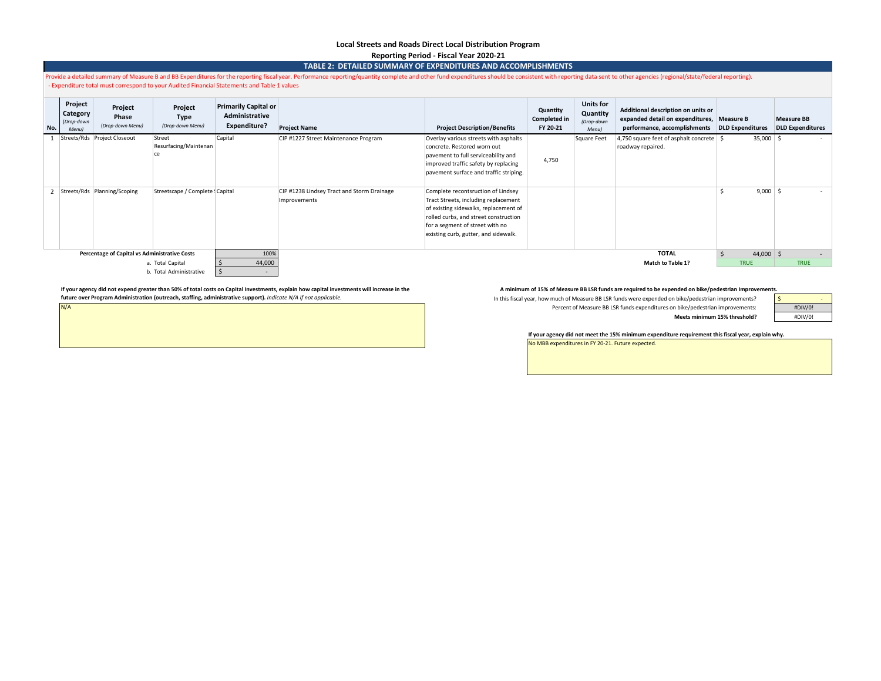# **Local Streets and Roads Direct Local Distribution Program**

**Reporting Period - Fiscal Year 2020-21**

|                                   | TABLE 2: DETAILED SUMMARY OF EXPENDITURES AND ACCOMPLISHMENTS                                                                                                                                                                                                                                                               |                                      |                                       |                                                               |                                                            |                                                                                                                                                                                                                                         |                                             |                                                     |                                                                                                                                   |               |                                              |  |  |
|-----------------------------------|-----------------------------------------------------------------------------------------------------------------------------------------------------------------------------------------------------------------------------------------------------------------------------------------------------------------------------|--------------------------------------|---------------------------------------|---------------------------------------------------------------|------------------------------------------------------------|-----------------------------------------------------------------------------------------------------------------------------------------------------------------------------------------------------------------------------------------|---------------------------------------------|-----------------------------------------------------|-----------------------------------------------------------------------------------------------------------------------------------|---------------|----------------------------------------------|--|--|
|                                   | Provide a detailed summary of Measure B and BB Expenditures for the reporting fiscal year. Performance reporting/quantity complete and other fund expenditures should be consistent with reporting data sent to other agencies<br>Expenditure total must correspond to your Audited Financial Statements and Table 1 values |                                      |                                       |                                                               |                                                            |                                                                                                                                                                                                                                         |                                             |                                                     |                                                                                                                                   |               |                                              |  |  |
| No.                               | Project<br>Category<br>(Drop-down<br>Menu                                                                                                                                                                                                                                                                                   | Project<br>Phase<br>(Drop-down Menu) | Project<br>Type<br>(Drop-down Menu)   | Primarily Capital or<br>Administrative<br><b>Expenditure?</b> | <b>Project Name</b>                                        | <b>Project Description/Benefits</b>                                                                                                                                                                                                     | Quantity<br><b>Completed in</b><br>FY 20-21 | <b>Units for</b><br>Quantity<br>(Drop-down<br>Menu) | Additional description on units or<br>expanded detail on expenditures, Measure B<br>performance, accomplishments DLD Expenditures |               | <b>Measure BB</b><br><b>DLD Expenditures</b> |  |  |
|                                   |                                                                                                                                                                                                                                                                                                                             | Streets/Rds Project Closeout         | Street<br>Resurfacing/Maintenan<br>ce | Capital                                                       | CIP #1227 Street Maintenance Program                       | Overlay various streets with asphalts<br>concrete. Restored worn out<br>pavement to full serviceability and<br>improved traffic safety by replacing<br>pavement surface and traffic striping.                                           | 4.750                                       | Square Feet                                         | 4,750 square feet of asphalt concrete   \$<br>roadway repaired.                                                                   | $35,000$   \$ | $\sim$                                       |  |  |
|                                   |                                                                                                                                                                                                                                                                                                                             | 2 Streets/Rds Planning/Scoping       | Streetscape / Complete : Capital      |                                                               | CIP #1238 Lindsey Tract and Storm Drainage<br>Improvements | Complete recontsruction of Lindsey<br>Tract Streets, including replacement<br>of existing sidewalks, replacement of<br>rolled curbs, and street construction<br>for a segment of street with no<br>existing curb, gutter, and sidewalk. |                                             |                                                     |                                                                                                                                   | $9,000$ \$    | $\sim$                                       |  |  |
|                                   | Percentage of Capital vs Administrative Costs                                                                                                                                                                                                                                                                               |                                      | 100%                                  |                                                               |                                                            |                                                                                                                                                                                                                                         |                                             | <b>TOTAL</b>                                        | $44,000$ \$                                                                                                                       |               |                                              |  |  |
|                                   |                                                                                                                                                                                                                                                                                                                             |                                      | a. Total Capital                      | 44,000                                                        |                                                            |                                                                                                                                                                                                                                         |                                             |                                                     | <b>Match to Table 1?</b>                                                                                                          | <b>TRUE</b>   | <b>TRUE</b>                                  |  |  |
| b. Total Administrative<br>$\sim$ |                                                                                                                                                                                                                                                                                                                             |                                      |                                       |                                                               |                                                            |                                                                                                                                                                                                                                         |                                             |                                                     |                                                                                                                                   |               |                                              |  |  |

If your agency did not expend greater than 50% of total costs on Capital Investments, explain how capital investments, which west ments will increase in the and the Aminimum of 15% of Measure BB LSR funds are required to b **future over Program Administration (outreach, staffing, administrative support).** *Indicate N/A if not applicable.* 

N/A

In this fiscal year, how much of Measure BB LSR funds were expended on bike/pedestrian improvements? Percent of Measure BB LSR funds expenditures on bike/pedestrian improvements:

| #DIV/0! |  |
|---------|--|
| #DIV/0! |  |

**If your agency did not meet the 15% minimum expenditure requirement this fiscal year, explain why.**

**Meets minimum 15% threshold?**

No MBB expenditures in FY 20-21. Future expected.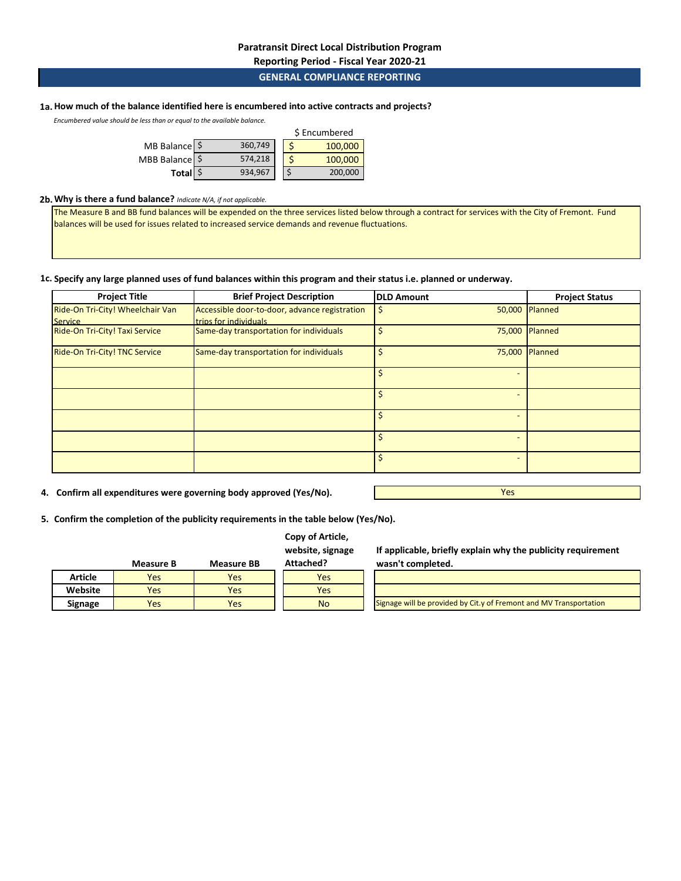# **GENERAL COMPLIANCE REPORTING**

## **1a. How much of the balance identified here is encumbered into active contracts and projects?**

*Encumbered value should be less than or equal to the available balance.* 

|                |         | \$ Encumbered |         |  |  |
|----------------|---------|---------------|---------|--|--|
| MB Balance \$  | 360,749 |               | 100,000 |  |  |
| MBB Balance \$ | 574,218 |               | 100,000 |  |  |
| Total \$       | 934,967 |               | 200,000 |  |  |

#### **2b.Why is there a fund balance?** *Indicate N/A, if not applicable.*

The Measure B and BB fund balances will be expended on the three services listed below through a contract for services with the City of Fremont. Fund balances will be used for issues related to increased service demands and revenue fluctuations.

## **1c. Specify any large planned uses of fund balances within this program and their status i.e. planned or underway.**

| <b>Project Title</b>                               | <b>Brief Project Description</b>                                       | <b>DLD Amount</b> | <b>Project Status</b> |
|----------------------------------------------------|------------------------------------------------------------------------|-------------------|-----------------------|
| Ride-On Tri-City! Wheelchair Van<br><b>Service</b> | Accessible door-to-door, advance registration<br>trips for individuals |                   | 50,000 Planned        |
| Ride-On Tri-City! Taxi Service                     | Same-day transportation for individuals                                | 75,000            | Planned               |
| Ride-On Tri-City! TNC Service                      | Same-day transportation for individuals                                | 75,000            | Planned               |
|                                                    |                                                                        |                   |                       |
|                                                    |                                                                        |                   |                       |
|                                                    |                                                                        |                   |                       |
|                                                    |                                                                        |                   |                       |
|                                                    |                                                                        |                   |                       |

**4. Confirm all expenditures were governing body approved (Yes/No).**

**5. Confirm the completion of the publicity requirements in the table below (Yes/No).**

# **Copy of Article,**

**website, signage Attached?**

|                | <b>Measure B</b> | <b>Measure BB</b> | Attached? |
|----------------|------------------|-------------------|-----------|
| <b>Article</b> | Yes              | Yes               | Yes       |
| Website        | Yes              | Yes               | res       |
| <b>Signage</b> | Yes              | Yes               | N٥        |

**If applicable, briefly explain why the publicity requirement wasn't completed.**

Yes

**No** Signage will be provided by Cit.y of Fremont and MV Transportation